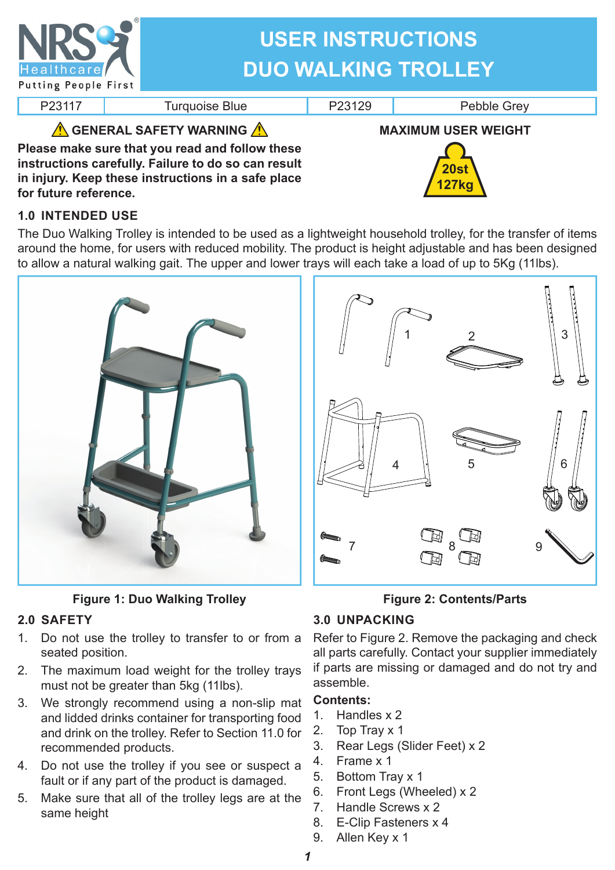| <b>Healthcare</b><br><b>Putting People First</b>                                                                                                                                                                           | <b>USER INSTRUCTIONS</b><br><b>DUO WALKING TROLLEY</b> |        |                                           |
|----------------------------------------------------------------------------------------------------------------------------------------------------------------------------------------------------------------------------|--------------------------------------------------------|--------|-------------------------------------------|
| P23117                                                                                                                                                                                                                     | <b>Turquoise Blue</b>                                  | P23129 | Pebble Grey                               |
| <b>A GENERAL SAFETY WARNING A</b><br>Please make sure that you read and follow these<br>instructions carefully. Failure to do so can result<br>in injury. Keep these instructions in a safe place<br>for future reference. |                                                        |        | <b>MAXIMUM USER WEIGHT</b><br><b>20st</b> |

## **1.0 INTENDED USE**

The Duo Walking Trolley is intended to be used as a lightweight household trolley, for the transfer of items around the home, for users with reduced mobility. The product is height adjustable and has been designed to allow a natural walking gait. The upper and lower trays will each take a load of up to 5Kg (11lbs).





**Figure 1: Duo Walking Trolley**

### **2.0 SAFETY**

- 1. Do not use the trolley to transfer to or from a seated position.
- 2. The maximum load weight for the trolley trays must not be greater than 5kg (11lbs).
- 3. We strongly recommend using a non-slip mat and lidded drinks container for transporting food and drink on the trolley. Refer to Section 11.0 for recommended products.
- 4. Do not use the trolley if you see or suspect a fault or if any part of the product is damaged.
- 5. Make sure that all of the trolley legs are at the same height

### **Figure 2: Contents/Parts**

### **3.0 UNPACKING**

Refer to Figure 2. Remove the packaging and check all parts carefully. Contact your supplier immediately if parts are missing or damaged and do not try and assemble.

#### **Contents:**

- 1. Handles x 2
- 2. Top Tray x 1
- 3. Rear Legs (Slider Feet) x 2
- 4. Frame x 1
- 5. Bottom Tray x 1
- 6. Front Legs (Wheeled) x 2
- 7. Handle Screws x 2
- 8. E-Clip Fasteners x 4
- 9. Allen Key x 1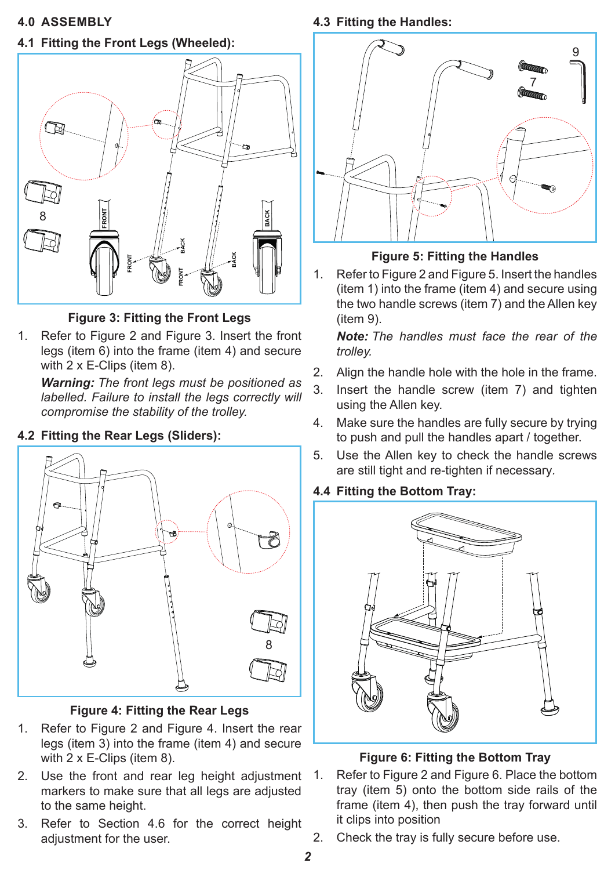# **4.1 Fitting the Front Legs (Wheeled):**



**Figure 3: Fitting the Front Legs**

1. Refer to Figure 2 and Figure 3. Insert the front legs (item 6) into the frame (item 4) and secure with 2 x E-Clips (item 8).

*Warning: The front legs must be positioned as labelled. Failure to install the legs correctly will compromise the stability of the trolley.*

## **4.2 Fitting the Rear Legs (Sliders):**



**Figure 4: Fitting the Rear Legs**

- 1. Refer to Figure 2 and Figure 4. Insert the rear legs (item 3) into the frame (item 4) and secure with 2 x E-Clips (item 8).
- 2. Use the front and rear leg height adjustment markers to make sure that all legs are adjusted to the same height.
- 3. Refer to Section 4.6 for the correct height adjustment for the user.

**4.3 Fitting the Handles:**



# **Figure 5: Fitting the Handles**

1. Refer to Figure 2 and Figure 5. Insert the handles (item 1) into the frame (item 4) and secure using the two handle screws (item 7) and the Allen key (item 9).

*Note: The handles must face the rear of the trolley.*

- 2. Align the handle hole with the hole in the frame.
- 3. Insert the handle screw (item 7) and tighten using the Allen key.
- 4. Make sure the handles are fully secure by trying to push and pull the handles apart / together.
- 5. Use the Allen key to check the handle screws are still tight and re-tighten if necessary*.*

### **4.4 Fitting the Bottom Tray:**



### **Figure 6: Fitting the Bottom Tray**

- 1. Refer to Figure 2 and Figure 6. Place the bottom tray (item 5) onto the bottom side rails of the frame (item 4), then push the tray forward until it clips into position
- 2. Check the tray is fully secure before use.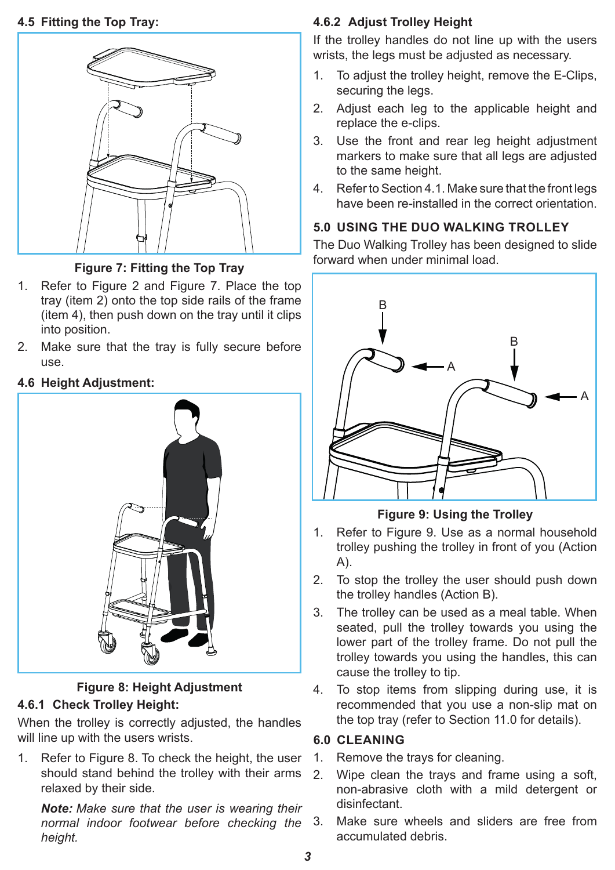#### **4.5 Fitting the Top Tray:**



**Figure 7: Fitting the Top Tray**

- 1. Refer to Figure 2 and Figure 7. Place the top tray (item 2) onto the top side rails of the frame (item 4), then push down on the tray until it clips into position.
- 2. Make sure that the tray is fully secure before use.

### **4.6 Height Adjustment:**



#### **Figure 8: Height Adjustment 4.6.1 Check Trolley Height:**

When the trolley is correctly adjusted, the handles will line up with the users wrists.

1. Refer to Figure 8. To check the height, the user should stand behind the trolley with their arms relaxed by their side.

*Note: Make sure that the user is wearing their normal indoor footwear before checking the height.*

#### **4.6.2 Adjust Trolley Height**

If the trolley handles do not line up with the users wrists, the legs must be adjusted as necessary.

- 1. To adjust the trolley height, remove the E-Clips, securing the legs.
- 2. Adjust each leg to the applicable height and replace the e-clips.
- 3. Use the front and rear leg height adjustment markers to make sure that all legs are adjusted to the same height.
- 4. Refer to Section 4.1. Make sure that the front legs have been re-installed in the correct orientation.

# **5.0 USING THE DUO WALKING TROLLEY**

The Duo Walking Trolley has been designed to slide forward when under minimal load.



**Figure 9: Using the Trolley**

- 1. Refer to Figure 9. Use as a normal household trolley pushing the trolley in front of you (Action A).
- 2. To stop the trolley the user should push down the trolley handles (Action B).
- 3. The trolley can be used as a meal table. When seated, pull the trolley towards you using the lower part of the trolley frame. Do not pull the trolley towards you using the handles, this can cause the trolley to tip.
- 4. To stop items from slipping during use, it is recommended that you use a non-slip mat on the top tray (refer to Section 11.0 for details).

#### **6.0 CLEANING**

- 1. Remove the trays for cleaning.
- 2. Wipe clean the trays and frame using a soft, non-abrasive cloth with a mild detergent or disinfectant.
- Make sure wheels and sliders are free from accumulated debris.